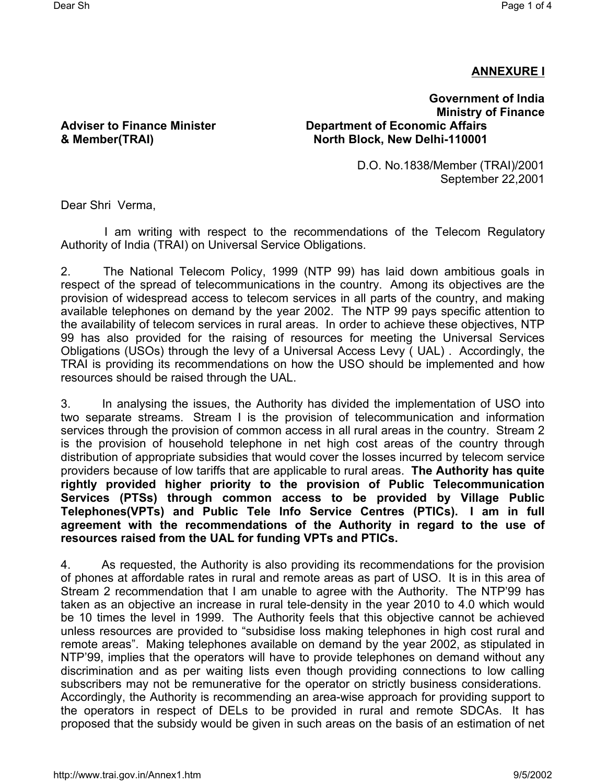## **ANNEXURE I**

## **Government of India Ministry of Finance Adviser to Finance Minister Department of Economic Affairs & Member(TRAI) North Block, New Delhi-110001**

D.O. No.1838/Member (TRAI)/2001 September 22,2001

Dear Shri Verma,

 I am writing with respect to the recommendations of the Telecom Regulatory Authority of India (TRAI) on Universal Service Obligations.

2. The National Telecom Policy, 1999 (NTP 99) has laid down ambitious goals in respect of the spread of telecommunications in the country. Among its objectives are the provision of widespread access to telecom services in all parts of the country, and making available telephones on demand by the year 2002. The NTP 99 pays specific attention to the availability of telecom services in rural areas. In order to achieve these objectives, NTP 99 has also provided for the raising of resources for meeting the Universal Services Obligations (USOs) through the levy of a Universal Access Levy ( UAL) . Accordingly, the TRAI is providing its recommendations on how the USO should be implemented and how resources should be raised through the UAL.

3. In analysing the issues, the Authority has divided the implementation of USO into two separate streams. Stream I is the provision of telecommunication and information services through the provision of common access in all rural areas in the country. Stream 2 is the provision of household telephone in net high cost areas of the country through distribution of appropriate subsidies that would cover the losses incurred by telecom service providers because of low tariffs that are applicable to rural areas. **The Authority has quite rightly provided higher priority to the provision of Public Telecommunication Services (PTSs) through common access to be provided by Village Public Telephones(VPTs) and Public Tele Info Service Centres (PTICs). I am in full agreement with the recommendations of the Authority in regard to the use of resources raised from the UAL for funding VPTs and PTICs.**

4. As requested, the Authority is also providing its recommendations for the provision of phones at affordable rates in rural and remote areas as part of USO. It is in this area of Stream 2 recommendation that I am unable to agree with the Authority. The NTP'99 has taken as an objective an increase in rural tele-density in the year 2010 to 4.0 which would be 10 times the level in 1999. The Authority feels that this objective cannot be achieved unless resources are provided to "subsidise loss making telephones in high cost rural and remote areas". Making telephones available on demand by the year 2002, as stipulated in NTP'99, implies that the operators will have to provide telephones on demand without any discrimination and as per waiting lists even though providing connections to low calling subscribers may not be remunerative for the operator on strictly business considerations. Accordingly, the Authority is recommending an area-wise approach for providing support to the operators in respect of DELs to be provided in rural and remote SDCAs. It has proposed that the subsidy would be given in such areas on the basis of an estimation of net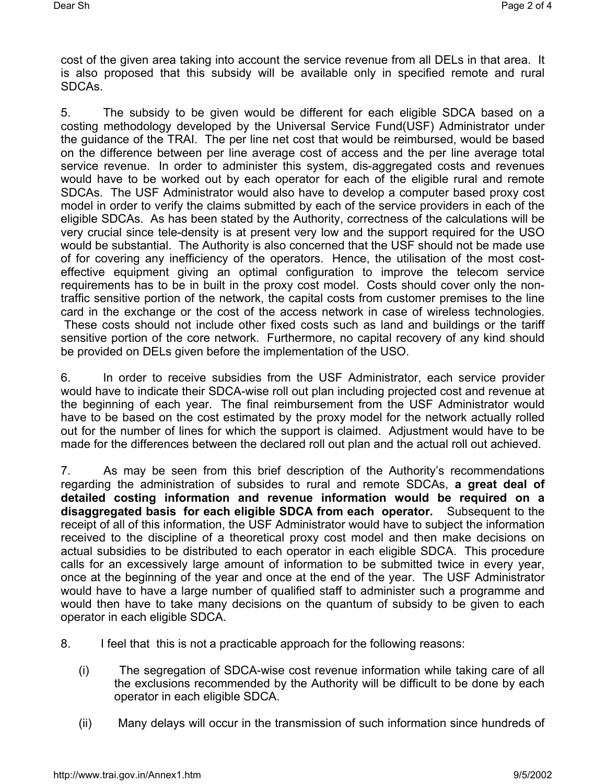cost of the given area taking into account the service revenue from all DELs in that area. It is also proposed that this subsidy will be available only in specified remote and rural SDCAs.

5. The subsidy to be given would be different for each eligible SDCA based on a costing methodology developed by the Universal Service Fund(USF) Administrator under the guidance of the TRAI. The per line net cost that would be reimbursed, would be based on the difference between per line average cost of access and the per line average total service revenue. In order to administer this system, dis-aggregated costs and revenues would have to be worked out by each operator for each of the eligible rural and remote SDCAs. The USF Administrator would also have to develop a computer based proxy cost model in order to verify the claims submitted by each of the service providers in each of the eligible SDCAs. As has been stated by the Authority, correctness of the calculations will be very crucial since tele-density is at present very low and the support required for the USO would be substantial. The Authority is also concerned that the USF should not be made use of for covering any inefficiency of the operators. Hence, the utilisation of the most costeffective equipment giving an optimal configuration to improve the telecom service requirements has to be in built in the proxy cost model. Costs should cover only the nontraffic sensitive portion of the network, the capital costs from customer premises to the line card in the exchange or the cost of the access network in case of wireless technologies. These costs should not include other fixed costs such as land and buildings or the tariff sensitive portion of the core network. Furthermore, no capital recovery of any kind should be provided on DELs given before the implementation of the USO.

6. In order to receive subsidies from the USF Administrator, each service provider would have to indicate their SDCA-wise roll out plan including projected cost and revenue at the beginning of each year. The final reimbursement from the USF Administrator would have to be based on the cost estimated by the proxy model for the network actually rolled out for the number of lines for which the support is claimed. Adjustment would have to be made for the differences between the declared roll out plan and the actual roll out achieved.

7. As may be seen from this brief description of the Authority's recommendations regarding the administration of subsides to rural and remote SDCAs, **a great deal of detailed costing information and revenue information would be required on a disaggregated basis for each eligible SDCA from each operator.** Subsequent to the receipt of all of this information, the USF Administrator would have to subject the information received to the discipline of a theoretical proxy cost model and then make decisions on actual subsidies to be distributed to each operator in each eligible SDCA. This procedure calls for an excessively large amount of information to be submitted twice in every year, once at the beginning of the year and once at the end of the year. The USF Administrator would have to have a large number of qualified staff to administer such a programme and would then have to take many decisions on the quantum of subsidy to be given to each operator in each eligible SDCA.

- 8. I feel that this is not a practicable approach for the following reasons:
	- (i) The segregation of SDCA-wise cost revenue information while taking care of all the exclusions recommended by the Authority will be difficult to be done by each operator in each eligible SDCA.
	- (ii) Many delays will occur in the transmission of such information since hundreds of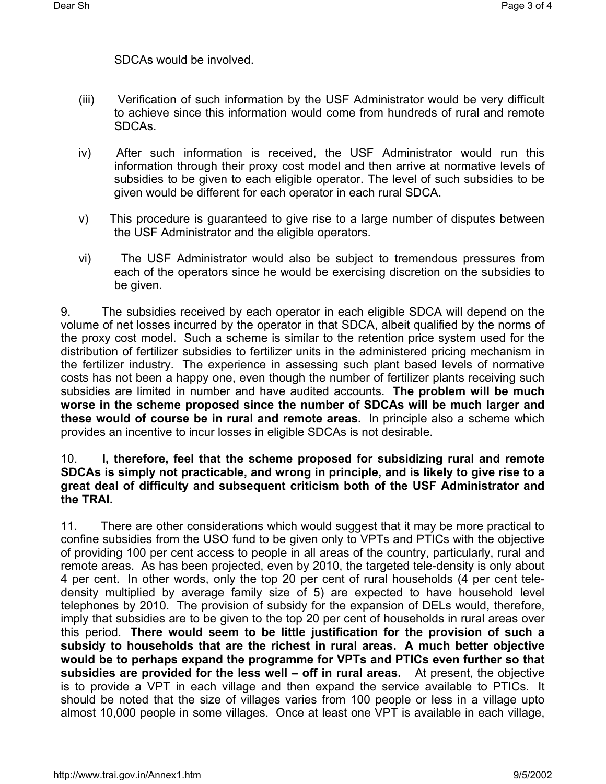SDCAs would be involved.

- (iii) Verification of such information by the USF Administrator would be very difficult to achieve since this information would come from hundreds of rural and remote SDCAs.
- iv) After such information is received, the USF Administrator would run this information through their proxy cost model and then arrive at normative levels of subsidies to be given to each eligible operator. The level of such subsidies to be given would be different for each operator in each rural SDCA.
- v) This procedure is guaranteed to give rise to a large number of disputes between the USF Administrator and the eligible operators.
- vi) The USF Administrator would also be subject to tremendous pressures from each of the operators since he would be exercising discretion on the subsidies to be given.

9. The subsidies received by each operator in each eligible SDCA will depend on the volume of net losses incurred by the operator in that SDCA, albeit qualified by the norms of the proxy cost model. Such a scheme is similar to the retention price system used for the distribution of fertilizer subsidies to fertilizer units in the administered pricing mechanism in the fertilizer industry. The experience in assessing such plant based levels of normative costs has not been a happy one, even though the number of fertilizer plants receiving such subsidies are limited in number and have audited accounts. **The problem will be much worse in the scheme proposed since the number of SDCAs will be much larger and these would of course be in rural and remote areas.** In principle also a scheme which provides an incentive to incur losses in eligible SDCAs is not desirable.

## 10. **I, therefore, feel that the scheme proposed for subsidizing rural and remote SDCAs is simply not practicable, and wrong in principle, and is likely to give rise to a great deal of difficulty and subsequent criticism both of the USF Administrator and the TRAI.**

11. There are other considerations which would suggest that it may be more practical to confine subsidies from the USO fund to be given only to VPTs and PTICs with the objective of providing 100 per cent access to people in all areas of the country, particularly, rural and remote areas. As has been projected, even by 2010, the targeted tele-density is only about 4 per cent. In other words, only the top 20 per cent of rural households (4 per cent teledensity multiplied by average family size of 5) are expected to have household level telephones by 2010. The provision of subsidy for the expansion of DELs would, therefore, imply that subsidies are to be given to the top 20 per cent of households in rural areas over this period. **There would seem to be little justification for the provision of such a subsidy to households that are the richest in rural areas. A much better objective would be to perhaps expand the programme for VPTs and PTICs even further so that subsidies are provided for the less well – off in rural areas.** At present, the objective is to provide a VPT in each village and then expand the service available to PTICs. It should be noted that the size of villages varies from 100 people or less in a village upto almost 10,000 people in some villages. Once at least one VPT is available in each village,